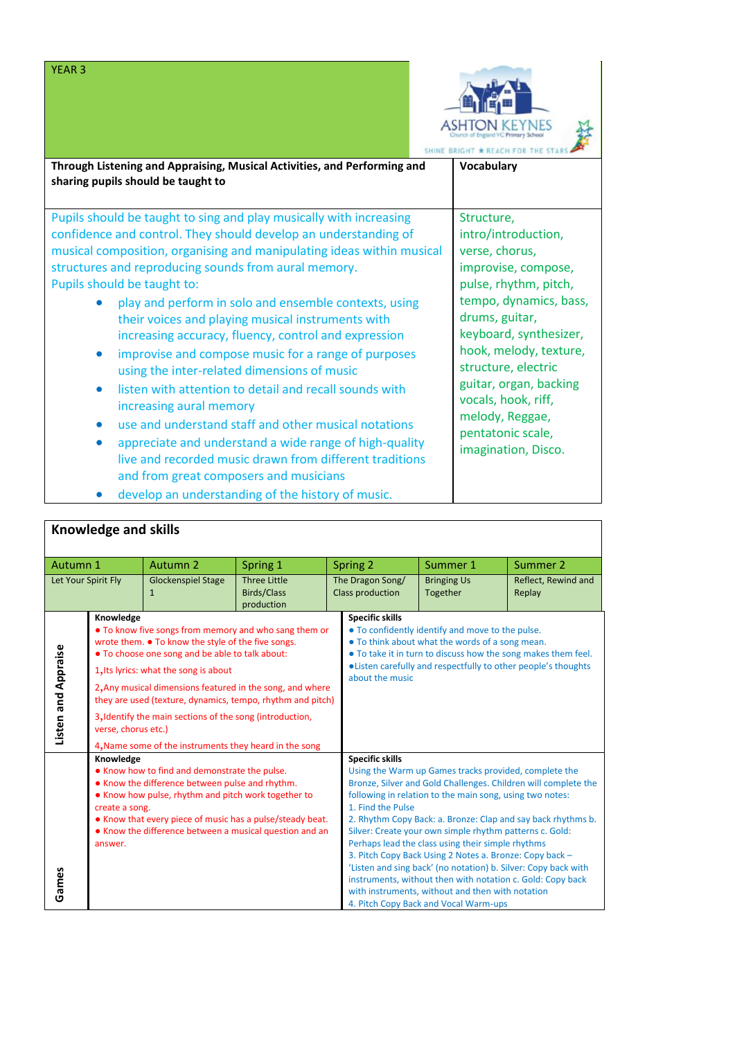

| Through Listening and Appraising, Musical Activities, and Performing and<br>sharing pupils should be taught to                                                                                                                                                                                                                                                                                                                                                                                                                                                                                                                                                                                                                                                                                                                                                                                | <b>Vocabulary</b>                                                                                                                                                                                                                                                                                                                          |
|-----------------------------------------------------------------------------------------------------------------------------------------------------------------------------------------------------------------------------------------------------------------------------------------------------------------------------------------------------------------------------------------------------------------------------------------------------------------------------------------------------------------------------------------------------------------------------------------------------------------------------------------------------------------------------------------------------------------------------------------------------------------------------------------------------------------------------------------------------------------------------------------------|--------------------------------------------------------------------------------------------------------------------------------------------------------------------------------------------------------------------------------------------------------------------------------------------------------------------------------------------|
| Pupils should be taught to sing and play musically with increasing<br>confidence and control. They should develop an understanding of<br>musical composition, organising and manipulating ideas within musical<br>structures and reproducing sounds from aural memory.<br>Pupils should be taught to:<br>play and perform in solo and ensemble contexts, using<br>their voices and playing musical instruments with<br>increasing accuracy, fluency, control and expression<br>improvise and compose music for a range of purposes<br>using the inter-related dimensions of music<br>listen with attention to detail and recall sounds with<br>increasing aural memory<br>use and understand staff and other musical notations<br>appreciate and understand a wide range of high-quality<br>live and recorded music drawn from different traditions<br>and from great composers and musicians | Structure,<br>intro/introduction,<br>verse, chorus,<br>improvise, compose,<br>pulse, rhythm, pitch,<br>tempo, dynamics, bass,<br>drums, guitar,<br>keyboard, synthesizer,<br>hook, melody, texture,<br>structure, electric<br>guitar, organ, backing<br>vocals, hook, riff,<br>melody, Reggae,<br>pentatonic scale,<br>imagination, Disco. |

• develop an understanding of the history of music.

| <b>Knowledge and skills</b> |                                                                                                                                                                                                                                                                                                                                                                                                                                                                                              |                                           |                                                         |                                      |                                                                                                                                                                                                                                                                                     |                                                                                                                                                                                                                                                                                                                                                                                                                                                                                                                           |                                                                                                                                |
|-----------------------------|----------------------------------------------------------------------------------------------------------------------------------------------------------------------------------------------------------------------------------------------------------------------------------------------------------------------------------------------------------------------------------------------------------------------------------------------------------------------------------------------|-------------------------------------------|---------------------------------------------------------|--------------------------------------|-------------------------------------------------------------------------------------------------------------------------------------------------------------------------------------------------------------------------------------------------------------------------------------|---------------------------------------------------------------------------------------------------------------------------------------------------------------------------------------------------------------------------------------------------------------------------------------------------------------------------------------------------------------------------------------------------------------------------------------------------------------------------------------------------------------------------|--------------------------------------------------------------------------------------------------------------------------------|
| Autumn 1                    |                                                                                                                                                                                                                                                                                                                                                                                                                                                                                              | Autumn 2                                  | Spring 1                                                | Spring 2                             |                                                                                                                                                                                                                                                                                     | Summer 1                                                                                                                                                                                                                                                                                                                                                                                                                                                                                                                  | Summer 2                                                                                                                       |
| Let Your Spirit Fly         |                                                                                                                                                                                                                                                                                                                                                                                                                                                                                              | <b>Glockenspiel Stage</b><br>$\mathbf{1}$ | <b>Three Little</b><br><b>Birds/Class</b><br>production | The Dragon Song/<br>Class production |                                                                                                                                                                                                                                                                                     | <b>Bringing Us</b><br>Together                                                                                                                                                                                                                                                                                                                                                                                                                                                                                            | Reflect, Rewind and<br>Replay                                                                                                  |
| Listen and Appraise         | Knowledge<br>• To know five songs from memory and who sang them or<br>wrote them. ● To know the style of the five songs.<br>. To choose one song and be able to talk about:<br>1. Its lyrics: what the song is about<br>2, Any musical dimensions featured in the song, and where<br>they are used (texture, dynamics, tempo, rhythm and pitch)<br>3, Identify the main sections of the song (introduction,<br>verse, chorus etc.)<br>4, Name some of the instruments they heard in the song |                                           |                                                         |                                      | <b>Specific skills</b><br>. To confidently identify and move to the pulse.<br>• To think about what the words of a song mean.<br>• To take it in turn to discuss how the song makes them feel.<br>. Listen carefully and respectfully to other people's thoughts<br>about the music |                                                                                                                                                                                                                                                                                                                                                                                                                                                                                                                           |                                                                                                                                |
| Games                       | Knowledge<br>• Know how to find and demonstrate the pulse.<br>• Know the difference between pulse and rhythm.<br>• Know how pulse, rhythm and pitch work together to<br>create a song.<br>• Know that every piece of music has a pulse/steady beat.<br>• Know the difference between a musical question and an<br>answer.                                                                                                                                                                    |                                           |                                                         |                                      | <b>Specific skills</b><br>1. Find the Pulse                                                                                                                                                                                                                                         | Using the Warm up Games tracks provided, complete the<br>following in relation to the main song, using two notes:<br>Silver: Create your own simple rhythm patterns c. Gold:<br>Perhaps lead the class using their simple rhythms<br>3. Pitch Copy Back Using 2 Notes a. Bronze: Copy back -<br>'Listen and sing back' (no notation) b. Silver: Copy back with<br>instruments, without then with notation c. Gold: Copy back<br>with instruments, without and then with notation<br>4. Pitch Copy Back and Vocal Warm-ups | Bronze, Silver and Gold Challenges. Children will complete the<br>2. Rhythm Copy Back: a. Bronze: Clap and say back rhythms b. |

YEAR 3